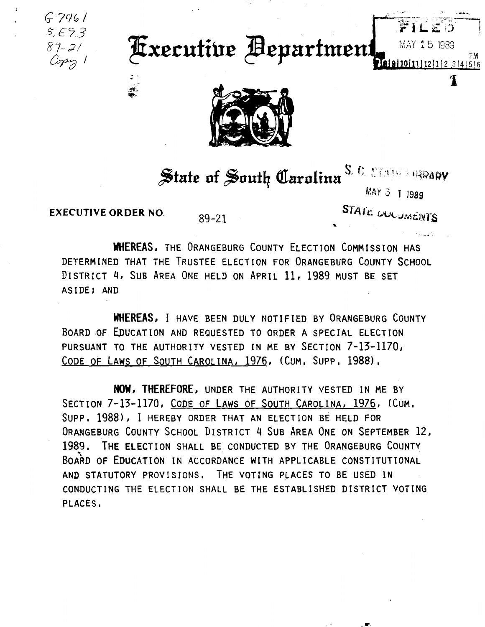$G.7961$  $5.693$  $89 - 21$ Copy 1

## **Executive Bepartment**



State of South Carolina<sup>S. C.</sup> STATE BRARY

MAY 3 1 1989

MAY 15 1989

18|9|10|11|12|1|2|3|4|5|6

FМ

T

**EXECUTIVE ORDER NO.** 

Ā.

 $89 - 21$ 

STATE DUCUMENTS

**WHEREAS, THE ORANGEBURG COUNTY ELECTION COMMISSION HAS** DETERMINED THAT THE TRUSTEE ELECTION FOR ORANGEBURG COUNTY SCHOOL DISTRICT 4, SUB AREA ONE HELD ON APRIL 11, 1989 MUST BE SET ASIDE; AND

WHEREAS, I HAVE BEEN DULY NOTIFIED BY ORANGEBURG COUNTY BOARD OF EDUCATION AND REQUESTED TO ORDER A SPECIAL ELECTION PURSUANT TO THE AUTHORITY VESTED IN ME BY SECTION 7-13-1170, CODE OF LAWS OF SOUTH CAROLINA, 1976, (CUM. SUPP. 1988).

NOW, THEREFORE, UNDER THE AUTHORITY VESTED IN ME BY SECTION 7-13-1170, CODE OF LAWS OF SOUTH CAROLINA, 1976, (CUM. SUPP. 1988), I HEREBY ORDER THAT AN ELECTION BE HELD FOR ORANGEBURG COUNTY SCHOOL DISTRICT 4 SUB AREA ONE ON SEPTEMBER 12, 1989. THE ELECTION SHALL BE CONDUCTED BY THE ORANGEBURG COUNTY BOARD OF EDUCATION IN ACCORDANCE WITH APPLICABLE CONSTITUTIONAL AND STATUTORY PROVISIONS. THE VOTING PLACES TO BE USED IN CONDUCTING THE ELECTION SHALL BE THE ESTABLISHED DISTRICT VOTING PLACES.